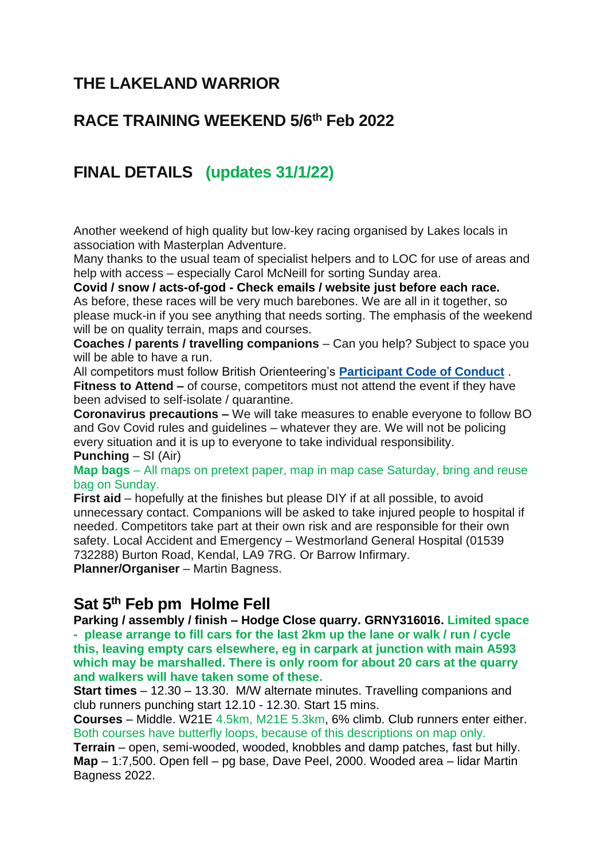# **THE LAKELAND WARRIOR**

## **RACE TRAINING WEEKEND 5/6th Feb 2022**

# **FINAL DETAILS (updates 31/1/22)**

Another weekend of high quality but low-key racing organised by Lakes locals in association with Masterplan Adventure.

Many thanks to the usual team of specialist helpers and to LOC for use of areas and help with access – especially Carol McNeill for sorting Sunday area.

**Covid / snow / acts-of-god - Check emails / website just before each race.** As before, these races will be very much barebones. We are all in it together, so please muck-in if you see anything that needs sorting. The emphasis of the weekend will be on quality terrain, maps and courses.

**Coaches / parents / travelling companions** – Can you help? Subject to space you will be able to have a run.

All competitors must follow British Orienteering's **[Participant Code of Conduct](https://bof2.sharepoint.com/Competitions/Competitions%20%20Events/Forms/AllItems.aspx?id=%2FCompetitions%2FCompetitions%20%20Events%2FEvent%20Safety%2FCOVID%2019%2FCode%20of%20Conduct%206%20July%202020%2Epdf&parent=%2FCompetitions%2FCompetitions%20%20Events%2FEvent%20Safety%2FCOVID%2019&p=true&originalPath=aHR0cHM6Ly9ib2YyLnNoYXJlcG9pbnQuY29tLzpiOi9nL0NvbXBldGl0aW9ucy9FZlgwLUxtS2xsRkRpUl9EQXpiTExoRUJHdVlsekJXY0VrZnVzd1B3Y2VaR1NBP3J0aW1lPWFxVEpUS2x6MkVn)** . **Fitness to Attend –** of course, competitors must not attend the event if they have been advised to self-isolate / quarantine.

**Coronavirus precautions –** We will take measures to enable everyone to follow BO and Gov Covid rules and guidelines – whatever they are. We will not be policing every situation and it is up to everyone to take individual responsibility.

#### **Punching** – SI (Air)

**Map bags** – All maps on pretext paper, map in map case Saturday, bring and reuse bag on Sunday.

**First aid** – hopefully at the finishes but please DIY if at all possible, to avoid unnecessary contact. Companions will be asked to take injured people to hospital if needed. Competitors take part at their own risk and are responsible for their own safety. Local Accident and Emergency – Westmorland General Hospital (01539 732288) Burton Road, Kendal, LA9 7RG. Or Barrow Infirmary. **Planner/Organiser** – Martin Bagness.

### **Sat 5 th Feb pm Holme Fell**

**Parking / assembly / finish – Hodge Close quarry. GRNY316016. Limited space - please arrange to fill cars for the last 2km up the lane or walk / run / cycle this, leaving empty cars elsewhere, eg in carpark at junction with main A593 which may be marshalled. There is only room for about 20 cars at the quarry and walkers will have taken some of these.**

**Start times** – 12.30 – 13.30. M/W alternate minutes. Travelling companions and club runners punching start 12.10 - 12.30. Start 15 mins.

**Courses** – Middle. W21E 4.5km, M21E 5.3km, 6% climb. Club runners enter either. Both courses have butterfly loops, because of this descriptions on map only.

**Terrain** – open, semi-wooded, wooded, knobbles and damp patches, fast but hilly. **Map** – 1:7,500. Open fell – pg base, Dave Peel, 2000. Wooded area – lidar Martin Bagness 2022.